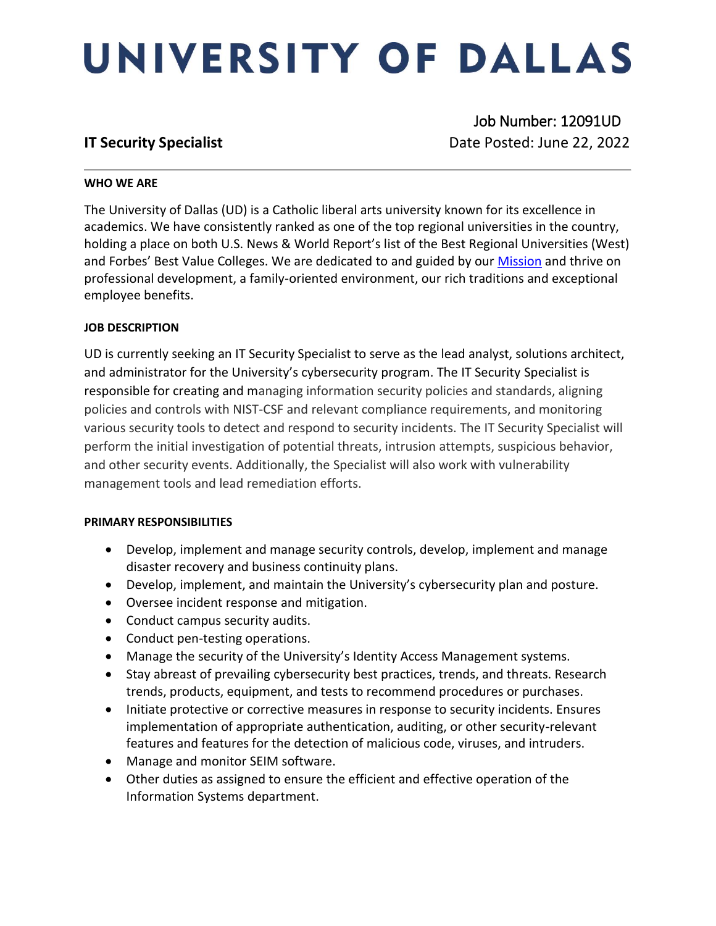# UNIVERSITY OF DALLAS

 Job Number: 12091UD **IT Security Specialist IT Security Specialist Date Posted: June 22, 2022** 

## **WHO WE ARE**

The University of Dallas (UD) is a Catholic liberal arts university known for its excellence in academics. We have consistently ranked as one of the top regional universities in the country, holding a place on both U.S. News & World Report's list of the Best Regional Universities (West) and Forbes' Best Value Colleges. We are dedicated to and guided by our [Mission](https://www.udallas.edu/about/mission.php) and thrive on professional development, a family-oriented environment, our rich traditions and exceptional employee benefits.

# **JOB DESCRIPTION**

UD is currently seeking an IT Security Specialist to serve as the lead analyst, solutions architect, and administrator for the University's cybersecurity program. The IT Security Specialist is responsible for creating and managing information security policies and standards, aligning policies and controls with NIST-CSF and relevant compliance requirements, and monitoring various security tools to detect and respond to security incidents. The IT Security Specialist will perform the initial investigation of potential threats, intrusion attempts, suspicious behavior, and other security events. Additionally, the Specialist will also work with vulnerability management tools and lead remediation efforts.

### **PRIMARY RESPONSIBILITIES**

- Develop, implement and manage security controls, develop, implement and manage disaster recovery and business continuity plans.
- Develop, implement, and maintain the University's cybersecurity plan and posture.
- Oversee incident response and mitigation.
- Conduct campus security audits.
- Conduct pen-testing operations.
- Manage the security of the University's Identity Access Management systems.
- Stay abreast of prevailing cybersecurity best practices, trends, and threats. Research trends, products, equipment, and tests to recommend procedures or purchases.
- Initiate protective or corrective measures in response to security incidents. Ensures implementation of appropriate authentication, auditing, or other security-relevant features and features for the detection of malicious code, viruses, and intruders.
- Manage and monitor SEIM software.
- Other duties as assigned to ensure the efficient and effective operation of the Information Systems department.